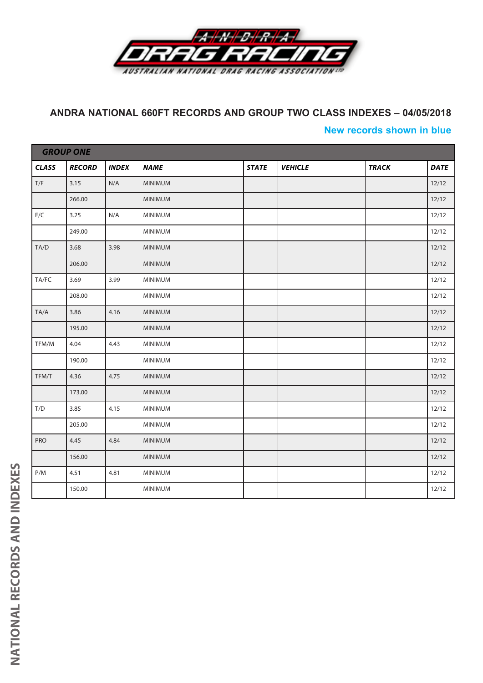

## **ANDRA NATIONAL 660FT RECORDS AND GROUP TWO CLASS INDEXES – 04/05/2018**

## **New records shown in blue**

|                         | <b>GROUP ONE</b> |              |                |              |                |              |             |  |  |  |
|-------------------------|------------------|--------------|----------------|--------------|----------------|--------------|-------------|--|--|--|
| <b>CLASS</b>            | <b>RECORD</b>    | <b>INDEX</b> | <b>NAME</b>    | <b>STATE</b> | <b>VEHICLE</b> | <b>TRACK</b> | <b>DATE</b> |  |  |  |
| $\mathsf{T}/\mathsf{F}$ | 3.15             | N/A          | <b>MINIMUM</b> |              |                |              | 12/12       |  |  |  |
|                         | 266.00           |              | MINIMUM        |              |                |              | 12/12       |  |  |  |
| $F/C$                   | 3.25             | N/A          | MINIMUM        |              |                |              | 12/12       |  |  |  |
|                         | 249.00           |              | <b>MINIMUM</b> |              |                |              | 12/12       |  |  |  |
| TA/D                    | 3.68             | 3.98         | <b>MINIMUM</b> |              |                |              | 12/12       |  |  |  |
|                         | 206.00           |              | MINIMUM        |              |                |              | 12/12       |  |  |  |
| TA/FC                   | 3.69             | 3.99         | <b>MINIMUM</b> |              |                |              | 12/12       |  |  |  |
|                         | 208.00           |              | MINIMUM        |              |                |              | 12/12       |  |  |  |
| TA/A                    | 3.86             | 4.16         | <b>MINIMUM</b> |              |                |              | 12/12       |  |  |  |
|                         | 195.00           |              | MINIMUM        |              |                |              | 12/12       |  |  |  |
| TFM/M                   | 4.04             | 4.43         | <b>MINIMUM</b> |              |                |              | 12/12       |  |  |  |
|                         | 190.00           |              | <b>MINIMUM</b> |              |                |              | 12/12       |  |  |  |
| TFM/T                   | 4.36             | 4.75         | <b>MINIMUM</b> |              |                |              | 12/12       |  |  |  |
|                         | 173.00           |              | MINIMUM        |              |                |              | 12/12       |  |  |  |
| T/D                     | 3.85             | 4.15         | <b>MINIMUM</b> |              |                |              | 12/12       |  |  |  |
|                         | 205.00           |              | <b>MINIMUM</b> |              |                |              | 12/12       |  |  |  |
| PRO                     | 4.45             | 4.84         | <b>MINIMUM</b> |              |                |              | 12/12       |  |  |  |
|                         | 156.00           |              | MINIMUM        |              |                |              | 12/12       |  |  |  |
| P/M                     | 4.51             | 4.81         | <b>MINIMUM</b> |              |                |              | 12/12       |  |  |  |
|                         | 150.00           |              | MINIMUM        |              |                |              | 12/12       |  |  |  |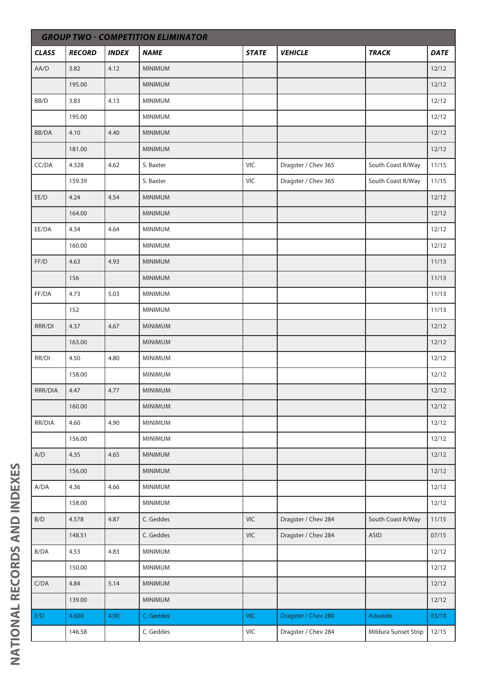|              | <b>GROUP TWO - COMPETITION ELIMINATOR</b> |              |                |              |                     |                      |             |  |  |  |  |
|--------------|-------------------------------------------|--------------|----------------|--------------|---------------------|----------------------|-------------|--|--|--|--|
| <b>CLASS</b> | <b>RECORD</b>                             | <b>INDEX</b> | <b>NAME</b>    | <b>STATE</b> | <b>VEHICLE</b>      | <b>TRACK</b>         | <b>DATE</b> |  |  |  |  |
| AA/D         | 3.82                                      | 4.12         | <b>MINIMUM</b> |              |                     |                      | 12/12       |  |  |  |  |
|              | 195.00                                    |              | <b>MINIMUM</b> |              |                     |                      | 12/12       |  |  |  |  |
| BB/D         | 3.83                                      | 4.13         | <b>MINIMUM</b> |              |                     |                      | 12/12       |  |  |  |  |
|              | 195.00                                    |              | <b>MINIMUM</b> |              |                     |                      | 12/12       |  |  |  |  |
| BB/DA        | 4.10                                      | 4.40         | <b>MINIMUM</b> |              |                     |                      | 12/12       |  |  |  |  |
|              | 181.00                                    |              | <b>MINIMUM</b> |              |                     |                      | 12/12       |  |  |  |  |
| CC/DA        | 4.328                                     | 4.62         | S. Baxter      | VIC          | Dragster / Chev 365 | South Coast R/Way    | 11/15       |  |  |  |  |
|              | 159.39                                    |              | S. Baxter      | VIC          | Dragster / Chev 365 | South Coast R/Way    | 11/15       |  |  |  |  |
| EE/D         | 4.24                                      | 4.54         | <b>MINIMUM</b> |              |                     |                      | 12/12       |  |  |  |  |
|              | 164.00                                    |              | <b>MINIMUM</b> |              |                     |                      | 12/12       |  |  |  |  |
| EE/DA        | 4.34                                      | 4.64         | <b>MINIMUM</b> |              |                     |                      | 12/12       |  |  |  |  |
|              | 160.00                                    |              | <b>MINIMUM</b> |              |                     |                      | 12/12       |  |  |  |  |
| FF/D         | 4.63                                      | 4.93         | <b>MINIMUM</b> |              |                     |                      | 11/13       |  |  |  |  |
|              | 156                                       |              | <b>MINIMUM</b> |              |                     |                      | 11/13       |  |  |  |  |
| FF/DA        | 4.73                                      | 5.03         | <b>MINIMUM</b> |              |                     |                      | 11/13       |  |  |  |  |
|              | 152                                       |              | <b>MINIMUM</b> |              |                     |                      | 11/13       |  |  |  |  |
| RRR/DI       | 4.37                                      | 4.67         | <b>MINIMUM</b> |              |                     |                      | 12/12       |  |  |  |  |
|              | 163.00                                    |              | <b>MINIMUM</b> |              |                     |                      | 12/12       |  |  |  |  |
| RR/DI        | 4.50                                      | 4.80         | MINIMUM        |              |                     |                      | 12/12       |  |  |  |  |
|              | 158.00                                    |              | MINIMUM        |              |                     |                      | 12/12       |  |  |  |  |
| RRR/DIA      | 4.47                                      | 4.77         | <b>MINIMUM</b> |              |                     |                      | 12/12       |  |  |  |  |
|              | 160.00                                    |              | <b>MINIMUM</b> |              |                     |                      | 12/12       |  |  |  |  |
| RR/DIA       | 4.60                                      | 4.90         | MINIMUM        |              |                     |                      | 12/12       |  |  |  |  |
|              | 156.00                                    |              | MINIMUM        |              |                     |                      | 12/12       |  |  |  |  |
| A/D          | 4.35                                      | 4.65         | <b>MINIMUM</b> |              |                     |                      | 12/12       |  |  |  |  |
|              | 156.00                                    |              | <b>MINIMUM</b> |              |                     |                      | 12/12       |  |  |  |  |
| A/DA         | 4.36                                      | 4.66         | <b>MINIMUM</b> |              |                     |                      | 12/12       |  |  |  |  |
|              | 158.00                                    |              | <b>MINIMUM</b> |              |                     |                      | 12/12       |  |  |  |  |
| B/D          | 4.578                                     | 4.87         | C. Geddes      | <b>VIC</b>   | Dragster / Chev 284 | South Coast R/Way    | 11/15       |  |  |  |  |
|              | 148.51                                    |              | C. Geddes      | VIC          | Dragster / Chev 284 | <b>ASID</b>          | 07/15       |  |  |  |  |
| B/DA         | 4.53                                      | 4.83         | <b>MINIMUM</b> |              |                     |                      | 12/12       |  |  |  |  |
|              | 150.00                                    |              | <b>MINIMUM</b> |              |                     |                      | 12/12       |  |  |  |  |
| C/DA         | 4.84                                      | 5.14         | <b>MINIMUM</b> |              |                     |                      | 12/12       |  |  |  |  |
|              | 139.00                                    |              | <b>MINIMUM</b> |              |                     |                      | 12/12       |  |  |  |  |
| E/D          | 4.600                                     | 4.90         | C. Geddes      | <b>VIC</b>   | Dragster / Chev 280 | Adealide             | 03/18       |  |  |  |  |
|              | 146.58                                    |              | C. Geddes      | VIC          | Dragster / Chev 284 | Mildura Sunset Strip | 12/15       |  |  |  |  |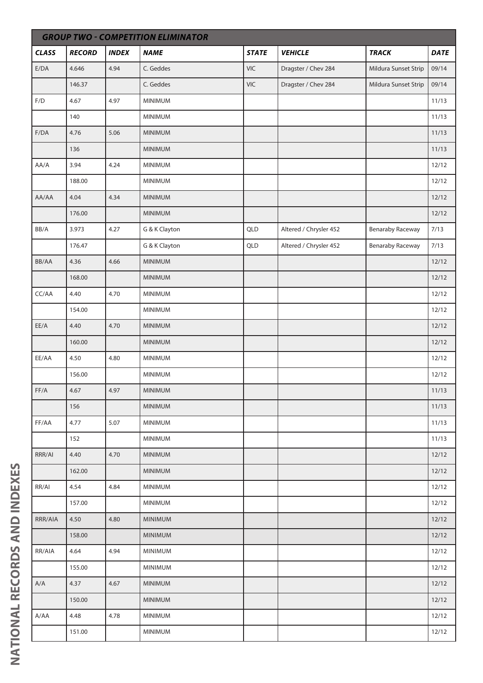|                         | <b>GROUP TWO - COMPETITION ELIMINATOR</b> |              |                |              |                        |                         |             |  |  |  |  |
|-------------------------|-------------------------------------------|--------------|----------------|--------------|------------------------|-------------------------|-------------|--|--|--|--|
| <b>CLASS</b>            | <b>RECORD</b>                             | <b>INDEX</b> | <b>NAME</b>    | <b>STATE</b> | <b>VEHICLE</b>         | <b>TRACK</b>            | <b>DATE</b> |  |  |  |  |
| E/DA                    | 4.646                                     | 4.94         | C. Geddes      | <b>VIC</b>   | Dragster / Chev 284    | Mildura Sunset Strip    | 09/14       |  |  |  |  |
|                         | 146.37                                    |              | C. Geddes      | <b>VIC</b>   | Dragster / Chev 284    | Mildura Sunset Strip    | 09/14       |  |  |  |  |
| $\mathsf{F}/\mathsf{D}$ | 4.67                                      | 4.97         | <b>MINIMUM</b> |              |                        |                         | 11/13       |  |  |  |  |
|                         | 140                                       |              | MINIMUM        |              |                        |                         | 11/13       |  |  |  |  |
| F/DA                    | 4.76                                      | 5.06         | <b>MINIMUM</b> |              |                        |                         | 11/13       |  |  |  |  |
|                         | 136                                       |              | <b>MINIMUM</b> |              |                        |                         | 11/13       |  |  |  |  |
| AA/A                    | 3.94                                      | 4.24         | <b>MINIMUM</b> |              |                        |                         | 12/12       |  |  |  |  |
|                         | 188.00                                    |              | MINIMUM        |              |                        |                         | 12/12       |  |  |  |  |
| AA/AA                   | 4.04                                      | 4.34         | MINIMUM        |              |                        |                         | 12/12       |  |  |  |  |
|                         | 176.00                                    |              | <b>MINIMUM</b> |              |                        |                         | 12/12       |  |  |  |  |
| BB/A                    | 3.973                                     | 4.27         | G & K Clayton  | QLD          | Altered / Chrysler 452 | <b>Benaraby Raceway</b> | 7/13        |  |  |  |  |
|                         | 176.47                                    |              | G & K Clayton  | QLD          | Altered / Chrysler 452 | <b>Benaraby Raceway</b> | 7/13        |  |  |  |  |
| BB/AA                   | 4.36                                      | 4.66         | <b>MINIMUM</b> |              |                        |                         | 12/12       |  |  |  |  |
|                         | 168.00                                    |              | <b>MINIMUM</b> |              |                        |                         | 12/12       |  |  |  |  |
| CC/AA                   | 4.40                                      | 4.70         | <b>MINIMUM</b> |              |                        |                         | 12/12       |  |  |  |  |
|                         | 154.00                                    |              | <b>MINIMUM</b> |              |                        |                         | 12/12       |  |  |  |  |
| EE/A                    | 4.40                                      | 4.70         | MINIMUM        |              |                        |                         | 12/12       |  |  |  |  |
|                         | 160.00                                    |              | MINIMUM        |              |                        |                         | 12/12       |  |  |  |  |
| EE/AA                   | 4.50                                      | 4.80         | MINIMUM        |              |                        |                         | 12/12       |  |  |  |  |
|                         | 156.00                                    |              | MINIMUM        |              |                        |                         | 12/12       |  |  |  |  |
| FF/A                    | 4.67                                      | 4.97         | <b>MINIMUM</b> |              |                        |                         | 11/13       |  |  |  |  |
|                         | 156                                       |              | <b>MINIMUM</b> |              |                        |                         | 11/13       |  |  |  |  |
| FF/AA                   | 4.77                                      | 5.07         | <b>MINIMUM</b> |              |                        |                         | 11/13       |  |  |  |  |
|                         | 152                                       |              | <b>MINIMUM</b> |              |                        |                         | 11/13       |  |  |  |  |
| RRR/AI                  | 4.40                                      | 4.70         | <b>MINIMUM</b> |              |                        |                         | 12/12       |  |  |  |  |
|                         | 162.00                                    |              | <b>MINIMUM</b> |              |                        |                         | 12/12       |  |  |  |  |
| RR/AI                   | 4.54                                      | 4.84         | <b>MINIMUM</b> |              |                        |                         | 12/12       |  |  |  |  |
|                         | 157.00                                    |              | <b>MINIMUM</b> |              |                        |                         | 12/12       |  |  |  |  |
| RRR/AIA                 | 4.50                                      | 4.80         | <b>MINIMUM</b> |              |                        |                         | 12/12       |  |  |  |  |
|                         | 158.00                                    |              | <b>MINIMUM</b> |              |                        |                         | 12/12       |  |  |  |  |
| RR/AIA                  | 4.64                                      | 4.94         | <b>MINIMUM</b> |              |                        |                         | 12/12       |  |  |  |  |
|                         | 155.00                                    |              | <b>MINIMUM</b> |              |                        |                         | 12/12       |  |  |  |  |
| $\mathsf{A}/\mathsf{A}$ | 4.37                                      | 4.67         | MINIMUM        |              |                        |                         | 12/12       |  |  |  |  |
|                         | 150.00                                    |              | <b>MINIMUM</b> |              |                        |                         | 12/12       |  |  |  |  |
| A/AA                    | 4.48                                      | 4.78         | <b>MINIMUM</b> |              |                        |                         | 12/12       |  |  |  |  |
|                         | 151.00                                    |              | MINIMUM        |              |                        |                         | 12/12       |  |  |  |  |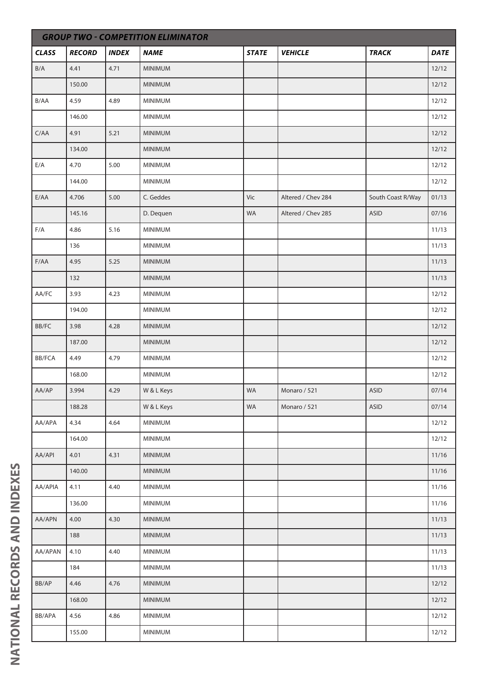| <b>GROUP TWO - COMPETITION ELIMINATOR</b> |               |              |                |              |                    |                   |             |  |  |
|-------------------------------------------|---------------|--------------|----------------|--------------|--------------------|-------------------|-------------|--|--|
| <b>CLASS</b>                              | <b>RECORD</b> | <b>INDEX</b> | <b>NAME</b>    | <b>STATE</b> | <b>VEHICLE</b>     | <b>TRACK</b>      | <b>DATE</b> |  |  |
| $\mathsf{B}/\mathsf{A}$                   | 4.41          | 4.71         | <b>MINIMUM</b> |              |                    |                   | 12/12       |  |  |
|                                           | 150.00        |              | <b>MINIMUM</b> |              |                    |                   | 12/12       |  |  |
| B/AA                                      | 4.59          | 4.89         | MINIMUM        |              |                    |                   | 12/12       |  |  |
|                                           | 146.00        |              | <b>MINIMUM</b> |              |                    |                   | 12/12       |  |  |
| C/AA                                      | 4.91          | 5.21         | MINIMUM        |              |                    |                   | 12/12       |  |  |
|                                           | 134.00        |              | <b>MINIMUM</b> |              |                    |                   | 12/12       |  |  |
| E/A                                       | 4.70          | 5.00         | <b>MINIMUM</b> |              |                    |                   | 12/12       |  |  |
|                                           | 144.00        |              | MINIMUM        |              |                    |                   | 12/12       |  |  |
| E/AA                                      | 4.706         | 5.00         | C. Geddes      | Vic          | Altered / Chev 284 | South Coast R/Way | 01/13       |  |  |
|                                           | 145.16        |              | D. Dequen      | WA           | Altered / Chev 285 | <b>ASID</b>       | 07/16       |  |  |
| F/A                                       | 4.86          | 5.16         | MINIMUM        |              |                    |                   | 11/13       |  |  |
|                                           | 136           |              | <b>MINIMUM</b> |              |                    |                   | 11/13       |  |  |
| F/AA                                      | 4.95          | 5.25         | <b>MINIMUM</b> |              |                    |                   | 11/13       |  |  |
|                                           | 132           |              | <b>MINIMUM</b> |              |                    |                   | 11/13       |  |  |
| AA/FC                                     | 3.93          | 4.23         | <b>MINIMUM</b> |              |                    |                   | 12/12       |  |  |
|                                           | 194.00        |              | MINIMUM        |              |                    |                   | 12/12       |  |  |
| $\mathsf{BB}/\mathsf{FC}$                 | 3.98          | 4.28         | <b>MINIMUM</b> |              |                    |                   | 12/12       |  |  |
|                                           | 187.00        |              | <b>MINIMUM</b> |              |                    |                   | 12/12       |  |  |
| BB/FCA                                    | 4.49          | 4.79         | MINIMUM        |              |                    |                   | 12/12       |  |  |
|                                           | 168.00        |              | MINIMUM        |              |                    |                   | 12/12       |  |  |
| AA/AP                                     | 3.994         | 4.29         | W & L Keys     | <b>WA</b>    | Monaro / 521       | ASID              | 07/14       |  |  |
|                                           | 188.28        |              | W & L Keys     | WA           | Monaro / 521       | <b>ASID</b>       | 07/14       |  |  |
| AA/APA                                    | 4.34          | 4.64         | <b>MINIMUM</b> |              |                    |                   | 12/12       |  |  |
|                                           | 164.00        |              | MINIMUM        |              |                    |                   | 12/12       |  |  |
| AA/API                                    | 4.01          | 4.31         | <b>MINIMUM</b> |              |                    |                   | 11/16       |  |  |
|                                           | 140.00        |              | MINIMUM        |              |                    |                   | 11/16       |  |  |
| AA/APIA                                   | 4.11          | 4.40         | MINIMUM        |              |                    |                   | 11/16       |  |  |
|                                           | 136.00        |              | <b>MINIMUM</b> |              |                    |                   | 11/16       |  |  |
| AA/APN                                    | 4.00          | 4.30         | <b>MINIMUM</b> |              |                    |                   | 11/13       |  |  |
|                                           | 188           |              | <b>MINIMUM</b> |              |                    |                   | 11/13       |  |  |
| AA/APAN                                   | 4.10          | 4.40         | MINIMUM        |              |                    |                   | 11/13       |  |  |
|                                           | 184           |              | MINIMUM        |              |                    |                   | 11/13       |  |  |
| BB/AP                                     | 4.46          | 4.76         | <b>MINIMUM</b> |              |                    |                   | 12/12       |  |  |
|                                           | 168.00        |              | <b>MINIMUM</b> |              |                    |                   | 12/12       |  |  |
| BB/APA                                    | 4.56          | 4.86         | MINIMUM        |              |                    |                   | 12/12       |  |  |
|                                           | 155.00        |              | <b>MINIMUM</b> |              |                    |                   | 12/12       |  |  |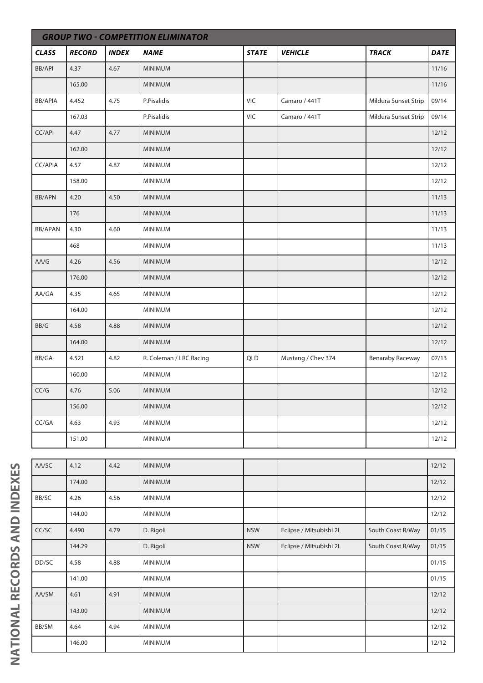|                | <b>GROUP TWO - COMPETITION ELIMINATOR</b> |              |                         |              |                    |                         |             |  |  |  |
|----------------|-------------------------------------------|--------------|-------------------------|--------------|--------------------|-------------------------|-------------|--|--|--|
| <b>CLASS</b>   | <b>RECORD</b>                             | <b>INDEX</b> | <b>NAME</b>             | <b>STATE</b> | <b>VEHICLE</b>     | <b>TRACK</b>            | <b>DATE</b> |  |  |  |
| <b>BB/API</b>  | 4.37                                      | 4.67         | <b>MINIMUM</b>          |              |                    |                         | 11/16       |  |  |  |
|                | 165.00                                    |              | MINIMUM                 |              |                    |                         | 11/16       |  |  |  |
| <b>BB/APIA</b> | 4.452                                     | 4.75         | P.Pisalidis             | VIC          | Camaro / 441T      | Mildura Sunset Strip    | 09/14       |  |  |  |
|                | 167.03                                    |              | P.Pisalidis             | VIC          | Camaro / 441T      | Mildura Sunset Strip    | 09/14       |  |  |  |
| CC/API         | 4.47                                      | 4.77         | <b>MINIMUM</b>          |              |                    |                         | 12/12       |  |  |  |
|                | 162.00                                    |              | MINIMUM                 |              |                    |                         | 12/12       |  |  |  |
| CC/APIA        | 4.57                                      | 4.87         | <b>MINIMUM</b>          |              |                    |                         | 12/12       |  |  |  |
|                | 158.00                                    |              | <b>MINIMUM</b>          |              |                    |                         | 12/12       |  |  |  |
| <b>BB/APN</b>  | 4.20                                      | 4.50         | <b>MINIMUM</b>          |              |                    |                         | 11/13       |  |  |  |
|                | 176                                       |              | <b>MINIMUM</b>          |              |                    |                         | 11/13       |  |  |  |
| <b>BB/APAN</b> | 4.30                                      | 4.60         | MINIMUM                 |              |                    |                         | 11/13       |  |  |  |
|                | 468                                       |              | <b>MINIMUM</b>          |              |                    |                         | 11/13       |  |  |  |
| AA/G           | 4.26                                      | 4.56         | <b>MINIMUM</b>          |              |                    |                         | 12/12       |  |  |  |
|                | 176.00                                    |              | <b>MINIMUM</b>          |              |                    |                         | 12/12       |  |  |  |
| AA/GA          | 4.35                                      | 4.65         | <b>MINIMUM</b>          |              |                    |                         | 12/12       |  |  |  |
|                | 164.00                                    |              | MINIMUM                 |              |                    |                         | 12/12       |  |  |  |
| BB/G           | 4.58                                      | 4.88         | <b>MINIMUM</b>          |              |                    |                         | 12/12       |  |  |  |
|                | 164.00                                    |              | <b>MINIMUM</b>          |              |                    |                         | 12/12       |  |  |  |
| BB/GA          | 4.521                                     | 4.82         | R. Coleman / LRC Racing | QLD          | Mustang / Chev 374 | <b>Benaraby Raceway</b> | 07/13       |  |  |  |
|                | 160.00                                    |              | <b>MINIMUM</b>          |              |                    |                         | 12/12       |  |  |  |
| CC/G           | 4.76                                      | 5.06         | MINIMUM                 |              |                    |                         | 12/12       |  |  |  |
|                | 156.00                                    |              | <b>MINIMUM</b>          |              |                    |                         | 12/12       |  |  |  |
| CC/GA          | 4.63                                      | 4.93         | <b>MINIMUM</b>          |              |                    |                         | 12/12       |  |  |  |
|                | 151.00                                    |              | MINIMUM                 |              |                    |                         | 12/12       |  |  |  |
|                |                                           |              |                         |              |                    |                         |             |  |  |  |

| AA/SC | 4.12   | 4.42 | <b>MINIMUM</b> |            |                         |                   | 12/12 |
|-------|--------|------|----------------|------------|-------------------------|-------------------|-------|
|       | 174.00 |      | <b>MINIMUM</b> |            |                         |                   | 12/12 |
| BB/SC | 4.26   | 4.56 | <b>MINIMUM</b> |            |                         |                   | 12/12 |
|       | 144.00 |      | <b>MINIMUM</b> |            |                         |                   | 12/12 |
| CC/SC | 4.490  | 4.79 | D. Rigoli      | <b>NSW</b> | Eclipse / Mitsubishi 2L | South Coast R/Way | 01/15 |
|       | 144.29 |      | D. Rigoli      | <b>NSW</b> | Eclipse / Mitsubishi 2L | South Coast R/Way | 01/15 |
| DD/SC | 4.58   | 4.88 | <b>MINIMUM</b> |            |                         |                   | 01/15 |
|       | 141.00 |      | <b>MINIMUM</b> |            |                         |                   | 01/15 |
| AA/SM | 4.61   | 4.91 | <b>MINIMUM</b> |            |                         |                   | 12/12 |
|       | 143.00 |      | <b>MINIMUM</b> |            |                         |                   | 12/12 |
| BB/SM | 4.64   | 4.94 | <b>MINIMUM</b> |            |                         |                   | 12/12 |
|       | 146.00 |      | <b>MINIMUM</b> |            |                         |                   | 12/12 |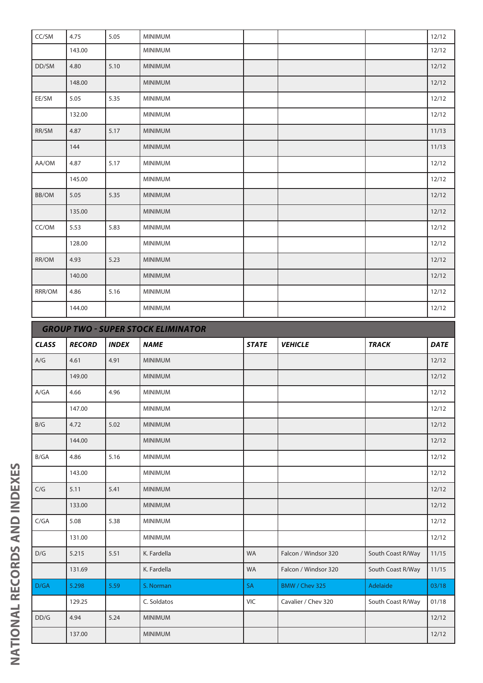| CC/SM  | 4.75       | 5.05 | <b>MINIMUM</b>           |  | 12/12 |
|--------|------------|------|--------------------------|--|-------|
|        | 143.00     |      | <b>MINIMUM</b>           |  | 12/12 |
| DD/SM  | 4.80       | 5.10 | <b>MINIMUM</b>           |  | 12/12 |
|        | 148.00     |      | <b>MINIMUM</b>           |  | 12/12 |
| EE/SM  | 5.05       | 5.35 | <b>MINIMUM</b>           |  | 12/12 |
|        | 132.00     |      | MINIMUM                  |  | 12/12 |
| RR/SM  | 4.87       | 5.17 | <b>MINIMUM</b>           |  | 11/13 |
|        | 144        |      | <b>MINIMUM</b>           |  | 11/13 |
| AA/OM  | 4.87       | 5.17 | <b>MINIMUM</b>           |  | 12/12 |
|        | 145.00     |      | <b>MINIMUM</b>           |  | 12/12 |
| BB/OM  | 5.05       | 5.35 | <b>MINIMUM</b>           |  | 12/12 |
|        | 135.00     |      | <b>MINIMUM</b>           |  | 12/12 |
| CC/OM  | 5.53       | 5.83 | <b>MINIMUM</b>           |  | 12/12 |
|        | 128.00     |      | <b>MINIMUM</b>           |  | 12/12 |
| RR/OM  | 4.93       | 5.23 | <b>MINIMUM</b>           |  | 12/12 |
|        | 140.00     |      | <b>MINIMUM</b>           |  | 12/12 |
| RRR/OM | 4.86       | 5.16 | <b>MINIMUM</b>           |  | 12/12 |
|        | 144.00     |      | <b>MINIMUM</b>           |  | 12/12 |
|        | 2001107110 |      | CURER CERCULEI ININIATOR |  |       |

|              | <b>GROUP TWO - SUPER STOCK ELIMINATOR</b> |              |                |              |                      |                   |             |  |  |  |
|--------------|-------------------------------------------|--------------|----------------|--------------|----------------------|-------------------|-------------|--|--|--|
| <b>CLASS</b> | <b>RECORD</b>                             | <b>INDEX</b> | <b>NAME</b>    | <b>STATE</b> | <b>VEHICLE</b>       | <b>TRACK</b>      | <b>DATE</b> |  |  |  |
| A/G          | 4.61                                      | 4.91         | <b>MINIMUM</b> |              |                      |                   | 12/12       |  |  |  |
|              | 149.00                                    |              | <b>MINIMUM</b> |              |                      |                   | 12/12       |  |  |  |
| A/GA         | 4.66                                      | 4.96         | <b>MINIMUM</b> |              |                      |                   | 12/12       |  |  |  |
|              | 147.00                                    |              | <b>MINIMUM</b> |              |                      |                   | 12/12       |  |  |  |
| B/G          | 4.72                                      | 5.02         | <b>MINIMUM</b> |              |                      |                   | 12/12       |  |  |  |
|              | 144.00                                    |              | <b>MINIMUM</b> |              |                      |                   | 12/12       |  |  |  |
| B/GA         | 4.86                                      | 5.16         | <b>MINIMUM</b> |              |                      |                   | 12/12       |  |  |  |
|              | 143.00                                    |              | <b>MINIMUM</b> |              |                      |                   | 12/12       |  |  |  |
| C/G          | 5.11                                      | 5.41         | <b>MINIMUM</b> |              |                      |                   | 12/12       |  |  |  |
|              | 133.00                                    |              | <b>MINIMUM</b> |              |                      |                   | 12/12       |  |  |  |
| C/GA         | 5.08                                      | 5.38         | <b>MINIMUM</b> |              |                      |                   | 12/12       |  |  |  |
|              | 131.00                                    |              | <b>MINIMUM</b> |              |                      |                   | 12/12       |  |  |  |
| D/G          | 5.215                                     | 5.51         | K. Fardella    | WA           | Falcon / Windsor 320 | South Coast R/Way | 11/15       |  |  |  |
|              | 131.69                                    |              | K. Fardella    | <b>WA</b>    | Falcon / Windsor 320 | South Coast R/Way | 11/15       |  |  |  |
| D/GA         | 5.298                                     | 5.59         | S. Norman      | <b>SA</b>    | BMW / Chev 325       | Adelaide          | 03/18       |  |  |  |
|              | 129.25                                    |              | C. Soldatos    | <b>VIC</b>   | Cavalier / Chev 320  | South Coast R/Way | 01/18       |  |  |  |
| DD/G         | 4.94                                      | 5.24         | <b>MINIMUM</b> |              |                      |                   | 12/12       |  |  |  |
|              | 137.00                                    |              | <b>MINIMUM</b> |              |                      |                   | 12/12       |  |  |  |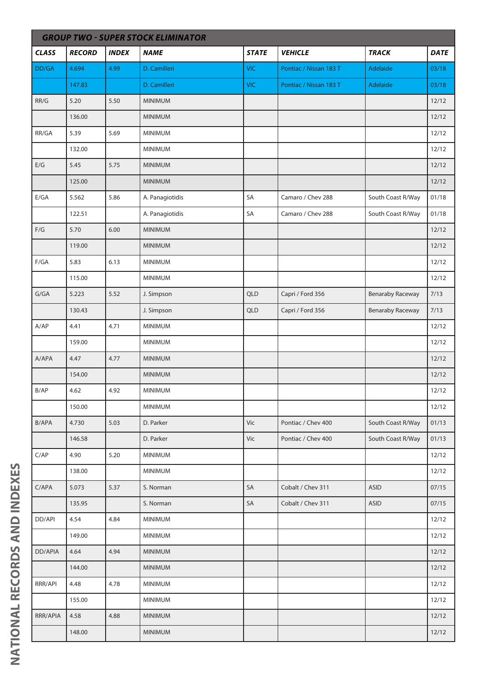|                         | <b>GROUP TWO - SUPER STOCK ELIMINATOR</b> |              |                 |              |                        |                         |             |  |  |  |
|-------------------------|-------------------------------------------|--------------|-----------------|--------------|------------------------|-------------------------|-------------|--|--|--|
| <b>CLASS</b>            | <b>RECORD</b>                             | <b>INDEX</b> | <b>NAME</b>     | <b>STATE</b> | <b>VEHICLE</b>         | <b>TRACK</b>            | <b>DATE</b> |  |  |  |
| DD/GA                   | 4.694                                     | 4.99         | D. Camilleri    | <b>VIC</b>   | Pontiac / Nissan 183 T | Adelaide                | 03/18       |  |  |  |
|                         | 147.83                                    |              | D. Camilleri    | <b>VIC</b>   | Pontiac / Nissan 183 T | Adelaide                | 03/18       |  |  |  |
| RR/G                    | 5.20                                      | 5.50         | <b>MINIMUM</b>  |              |                        |                         | 12/12       |  |  |  |
|                         | 136.00                                    |              | <b>MINIMUM</b>  |              |                        |                         | 12/12       |  |  |  |
| RR/GA                   | 5.39                                      | 5.69         | MINIMUM         |              |                        |                         | 12/12       |  |  |  |
|                         | 132.00                                    |              | MINIMUM         |              |                        |                         | 12/12       |  |  |  |
| E/G                     | 5.45                                      | 5.75         | <b>MINIMUM</b>  |              |                        |                         | 12/12       |  |  |  |
|                         | 125.00                                    |              | <b>MINIMUM</b>  |              |                        |                         | 12/12       |  |  |  |
| E/GA                    | 5.562                                     | 5.86         | A. Panagiotidis | SA           | Camaro / Chev 288      | South Coast R/Way       | 01/18       |  |  |  |
|                         | 122.51                                    |              | A. Panagiotidis | SA           | Camaro / Chev 288      | South Coast R/Way       | 01/18       |  |  |  |
| $\mathsf{F}/\mathsf{G}$ | 5.70                                      | 6.00         | <b>MINIMUM</b>  |              |                        |                         | 12/12       |  |  |  |
|                         | 119.00                                    |              | <b>MINIMUM</b>  |              |                        |                         | 12/12       |  |  |  |
| F/GA                    | 5.83                                      | 6.13         | <b>MINIMUM</b>  |              |                        |                         | 12/12       |  |  |  |
|                         | 115.00                                    |              | <b>MINIMUM</b>  |              |                        |                         | 12/12       |  |  |  |
| G/GA                    | 5.223                                     | 5.52         | J. Simpson      | QLD          | Capri / Ford 356       | <b>Benaraby Raceway</b> | 7/13        |  |  |  |
|                         | 130.43                                    |              | J. Simpson      | QLD          | Capri / Ford 356       | <b>Benaraby Raceway</b> | 7/13        |  |  |  |
| A/AP                    | 4.41                                      | 4.71         | <b>MINIMUM</b>  |              |                        |                         | 12/12       |  |  |  |
|                         | 159.00                                    |              | <b>MINIMUM</b>  |              |                        |                         | 12/12       |  |  |  |
| A/APA                   | 4.47                                      | 4.77         | <b>MINIMUM</b>  |              |                        |                         | 12/12       |  |  |  |
|                         | 154.00                                    |              | <b>MINIMUM</b>  |              |                        |                         | 12/12       |  |  |  |
| B/AP                    | 4.62                                      | 4.92         | MINIMUM         |              |                        |                         | 12/12       |  |  |  |
|                         | 150.00                                    |              | <b>MINIMUM</b>  |              |                        |                         | 12/12       |  |  |  |
| B/APA                   | 4.730                                     | 5.03         | D. Parker       | Vic          | Pontiac / Chev 400     | South Coast R/Way       | 01/13       |  |  |  |
|                         | 146.58                                    |              | D. Parker       | Vic          | Pontiac / Chev 400     | South Coast R/Way       | 01/13       |  |  |  |
| C/AP                    | 4.90                                      | 5.20         | MINIMUM         |              |                        |                         | 12/12       |  |  |  |
|                         | 138.00                                    |              | <b>MINIMUM</b>  |              |                        |                         | 12/12       |  |  |  |
| C/APA                   | 5.073                                     | 5.37         | S. Norman       | SA           | Cobalt / Chev 311      | <b>ASID</b>             | 07/15       |  |  |  |
|                         | 135.95                                    |              | S. Norman       | SA           | Cobalt / Chev 311      | <b>ASID</b>             | 07/15       |  |  |  |
| DD/API                  | 4.54                                      | 4.84         | <b>MINIMUM</b>  |              |                        |                         | 12/12       |  |  |  |
|                         | 149.00                                    |              | <b>MINIMUM</b>  |              |                        |                         | 12/12       |  |  |  |
| DD/APIA                 | 4.64                                      | 4.94         | <b>MINIMUM</b>  |              |                        |                         | 12/12       |  |  |  |
|                         | 144.00                                    |              | MINIMUM         |              |                        |                         | 12/12       |  |  |  |
| RRR/API                 | 4.48                                      | 4.78         | <b>MINIMUM</b>  |              |                        |                         | 12/12       |  |  |  |
|                         | 155.00                                    |              | <b>MINIMUM</b>  |              |                        |                         | 12/12       |  |  |  |
| RRR/APIA                | 4.58                                      | 4.88         | <b>MINIMUM</b>  |              |                        |                         | 12/12       |  |  |  |
|                         | 148.00                                    |              | <b>MINIMUM</b>  |              |                        |                         | 12/12       |  |  |  |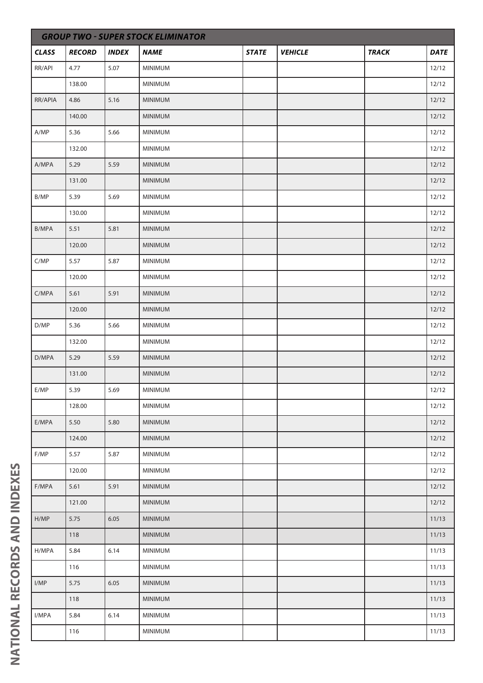|              | <b>GROUP TWO - SUPER STOCK ELIMINATOR</b> |              |                |              |                |              |             |  |  |  |
|--------------|-------------------------------------------|--------------|----------------|--------------|----------------|--------------|-------------|--|--|--|
| <b>CLASS</b> | <b>RECORD</b>                             | <b>INDEX</b> | <b>NAME</b>    | <b>STATE</b> | <b>VEHICLE</b> | <b>TRACK</b> | <b>DATE</b> |  |  |  |
| RR/API       | 4.77                                      | 5.07         | <b>MINIMUM</b> |              |                |              | 12/12       |  |  |  |
|              | 138.00                                    |              | MINIMUM        |              |                |              | 12/12       |  |  |  |
| RR/APIA      | 4.86                                      | 5.16         | <b>MINIMUM</b> |              |                |              | 12/12       |  |  |  |
|              | 140.00                                    |              | MINIMUM        |              |                |              | 12/12       |  |  |  |
| A/MP         | 5.36                                      | 5.66         | MINIMUM        |              |                |              | 12/12       |  |  |  |
|              | 132.00                                    |              | <b>MINIMUM</b> |              |                |              | 12/12       |  |  |  |
| A/MPA        | 5.29                                      | 5.59         | <b>MINIMUM</b> |              |                |              | 12/12       |  |  |  |
|              | 131.00                                    |              | MINIMUM        |              |                |              | 12/12       |  |  |  |
| B/MP         | 5.39                                      | 5.69         | MINIMUM        |              |                |              | 12/12       |  |  |  |
|              | 130.00                                    |              | <b>MINIMUM</b> |              |                |              | 12/12       |  |  |  |
| B/MPA        | 5.51                                      | 5.81         | MINIMUM        |              |                |              | 12/12       |  |  |  |
|              | 120.00                                    |              | <b>MINIMUM</b> |              |                |              | 12/12       |  |  |  |
| C/MP         | 5.57                                      | 5.87         | MINIMUM        |              |                |              | 12/12       |  |  |  |
|              | 120.00                                    |              | MINIMUM        |              |                |              | 12/12       |  |  |  |
| C/MPA        | 5.61                                      | 5.91         | <b>MINIMUM</b> |              |                |              | 12/12       |  |  |  |
|              | 120.00                                    |              | <b>MINIMUM</b> |              |                |              | 12/12       |  |  |  |
| D/MP         | 5.36                                      | 5.66         | MINIMUM        |              |                |              | 12/12       |  |  |  |
|              | 132.00                                    |              | <b>MINIMUM</b> |              |                |              | 12/12       |  |  |  |
| D/MPA        | 5.29                                      | 5.59         | <b>MINIMUM</b> |              |                |              | 12/12       |  |  |  |
|              | 131.00                                    |              | MINIMUM        |              |                |              | 12/12       |  |  |  |
| E/MP         | 5.39                                      | 5.69         | <b>MINIMUM</b> |              |                |              | 12/12       |  |  |  |
|              | 128.00                                    |              | <b>MINIMUM</b> |              |                |              | 12/12       |  |  |  |
| E/MPA        | 5.50                                      | 5.80         | <b>MINIMUM</b> |              |                |              | 12/12       |  |  |  |
|              | 124.00                                    |              | MINIMUM        |              |                |              | 12/12       |  |  |  |
| F/MP         | 5.57                                      | 5.87         | <b>MINIMUM</b> |              |                |              | 12/12       |  |  |  |
|              | 120.00                                    |              | MINIMUM        |              |                |              | 12/12       |  |  |  |
| F/MPA        | 5.61                                      | 5.91         | MINIMUM        |              |                |              | 12/12       |  |  |  |
|              | 121.00                                    |              | <b>MINIMUM</b> |              |                |              | 12/12       |  |  |  |
| H/MP         | 5.75                                      | 6.05         | <b>MINIMUM</b> |              |                |              | 11/13       |  |  |  |
|              | 118                                       |              | <b>MINIMUM</b> |              |                |              | 11/13       |  |  |  |
| H/MPA        | 5.84                                      | 6.14         | MINIMUM        |              |                |              | 11/13       |  |  |  |
|              | 116                                       |              | <b>MINIMUM</b> |              |                |              | 11/13       |  |  |  |
| I/MP         | 5.75                                      | 6.05         | MINIMUM        |              |                |              | 11/13       |  |  |  |
|              | 118                                       |              | MINIMUM        |              |                |              | 11/13       |  |  |  |
| I/MPA        | 5.84                                      | 6.14         | <b>MINIMUM</b> |              |                |              | 11/13       |  |  |  |
|              | 116                                       |              | MINIMUM        |              |                |              | 11/13       |  |  |  |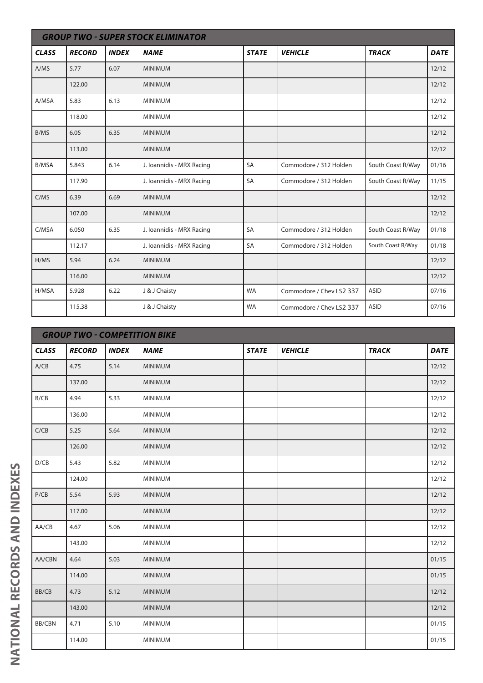|              | <b>GROUP TWO - SUPER STOCK ELIMINATOR</b> |              |                           |              |                          |                   |             |  |  |  |
|--------------|-------------------------------------------|--------------|---------------------------|--------------|--------------------------|-------------------|-------------|--|--|--|
| <b>CLASS</b> | <b>RECORD</b>                             | <b>INDEX</b> | <b>NAME</b>               | <b>STATE</b> | <b>VEHICLE</b>           | <b>TRACK</b>      | <b>DATE</b> |  |  |  |
| A/MS         | 5.77                                      | 6.07         | <b>MINIMUM</b>            |              |                          |                   | 12/12       |  |  |  |
|              | 122.00                                    |              | <b>MINIMUM</b>            |              |                          |                   | 12/12       |  |  |  |
| A/MSA        | 5.83                                      | 6.13         | <b>MINIMUM</b>            |              |                          |                   | 12/12       |  |  |  |
|              | 118.00                                    |              | <b>MINIMUM</b>            |              |                          |                   | 12/12       |  |  |  |
| B/MS         | 6.05                                      | 6.35         | <b>MINIMUM</b>            |              |                          |                   | 12/12       |  |  |  |
|              | 113.00                                    |              | <b>MINIMUM</b>            |              |                          |                   | 12/12       |  |  |  |
| <b>B/MSA</b> | 5.843                                     | 6.14         | J. Ioannidis - MRX Racing | <b>SA</b>    | Commodore / 312 Holden   | South Coast R/Way | 01/16       |  |  |  |
|              | 117.90                                    |              | J. Ioannidis - MRX Racing | <b>SA</b>    | Commodore / 312 Holden   | South Coast R/Way | 11/15       |  |  |  |
| C/MS         | 6.39                                      | 6.69         | <b>MINIMUM</b>            |              |                          |                   | 12/12       |  |  |  |
|              | 107.00                                    |              | <b>MINIMUM</b>            |              |                          |                   | 12/12       |  |  |  |
| C/MSA        | 6.050                                     | 6.35         | J. Ioannidis - MRX Racing | <b>SA</b>    | Commodore / 312 Holden   | South Coast R/Way | 01/18       |  |  |  |
|              | 112.17                                    |              | J. Ioannidis - MRX Racing | SA           | Commodore / 312 Holden   | South Coast R/Way | 01/18       |  |  |  |
| H/MS         | 5.94                                      | 6.24         | <b>MINIMUM</b>            |              |                          |                   | 12/12       |  |  |  |
|              | 116.00                                    |              | <b>MINIMUM</b>            |              |                          |                   | 12/12       |  |  |  |
| H/MSA        | 5.928                                     | 6.22         | J & J Chaisty             | <b>WA</b>    | Commodore / Chev LS2 337 | <b>ASID</b>       | 07/16       |  |  |  |
|              | 115.38                                    |              | J & J Chaisty             | <b>WA</b>    | Commodore / Chev LS2 337 | <b>ASID</b>       | 07/16       |  |  |  |

|              | <b>GROUP TWO - COMPETITION BIKE</b> |              |                |              |                |              |             |  |  |  |
|--------------|-------------------------------------|--------------|----------------|--------------|----------------|--------------|-------------|--|--|--|
| <b>CLASS</b> | <b>RECORD</b>                       | <b>INDEX</b> | <b>NAME</b>    | <b>STATE</b> | <b>VEHICLE</b> | <b>TRACK</b> | <b>DATE</b> |  |  |  |
| A/CB         | 4.75                                | 5.14         | <b>MINIMUM</b> |              |                |              | 12/12       |  |  |  |
|              | 137.00                              |              | <b>MINIMUM</b> |              |                |              | 12/12       |  |  |  |
| B/CB         | 4.94                                | 5.33         | <b>MINIMUM</b> |              |                |              | 12/12       |  |  |  |
|              | 136.00                              |              | <b>MINIMUM</b> |              |                |              | 12/12       |  |  |  |
| C/CB         | 5.25                                | 5.64         | <b>MINIMUM</b> |              |                |              | 12/12       |  |  |  |
|              | 126.00                              |              | <b>MINIMUM</b> |              |                |              | 12/12       |  |  |  |
| D/CB         | 5.43                                | 5.82         | <b>MINIMUM</b> |              |                |              | 12/12       |  |  |  |
|              | 124.00                              |              | <b>MINIMUM</b> |              |                |              | 12/12       |  |  |  |
| P/CB         | 5.54                                | 5.93         | <b>MINIMUM</b> |              |                |              | 12/12       |  |  |  |
|              | 117.00                              |              | <b>MINIMUM</b> |              |                |              | 12/12       |  |  |  |
| AA/CB        | 4.67                                | 5.06         | <b>MINIMUM</b> |              |                |              | 12/12       |  |  |  |
|              | 143.00                              |              | <b>MINIMUM</b> |              |                |              | 12/12       |  |  |  |
| AA/CBN       | 4.64                                | 5.03         | <b>MINIMUM</b> |              |                |              | 01/15       |  |  |  |
|              | 114.00                              |              | <b>MINIMUM</b> |              |                |              | 01/15       |  |  |  |
| BB/CB        | 4.73                                | 5.12         | <b>MINIMUM</b> |              |                |              | 12/12       |  |  |  |
|              | 143.00                              |              | <b>MINIMUM</b> |              |                |              | 12/12       |  |  |  |
| BB/CBN       | 4.71                                | 5.10         | <b>MINIMUM</b> |              |                |              | 01/15       |  |  |  |
|              | 114.00                              |              | MINIMUM        |              |                |              | 01/15       |  |  |  |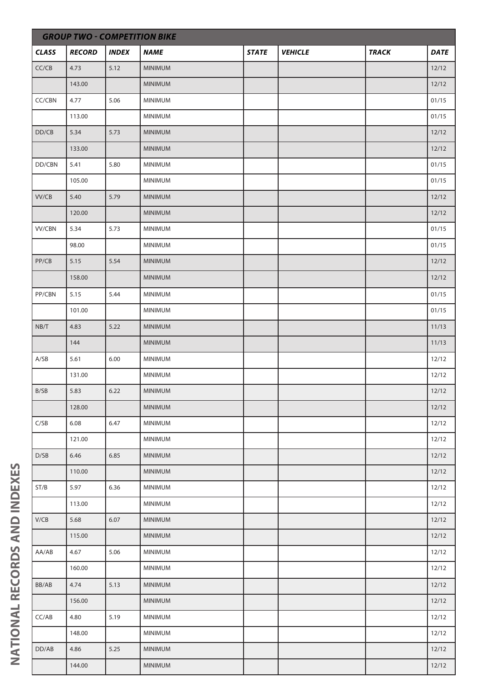| <b>GROUP TWO - COMPETITION BIKE</b> |               |              |                |              |                |              |             |  |
|-------------------------------------|---------------|--------------|----------------|--------------|----------------|--------------|-------------|--|
| <b>CLASS</b>                        | <b>RECORD</b> | <b>INDEX</b> | <b>NAME</b>    | <b>STATE</b> | <b>VEHICLE</b> | <b>TRACK</b> | <b>DATE</b> |  |
| CC/CB                               | 4.73          | 5.12         | <b>MINIMUM</b> |              |                |              | 12/12       |  |
|                                     | 143.00        |              | <b>MINIMUM</b> |              |                |              | 12/12       |  |
| CC/CBN                              | 4.77          | 5.06         | MINIMUM        |              |                |              | 01/15       |  |
|                                     | 113.00        |              | MINIMUM        |              |                |              | 01/15       |  |
| DD/CB                               | 5.34          | 5.73         | <b>MINIMUM</b> |              |                |              | 12/12       |  |
|                                     | 133.00        |              | <b>MINIMUM</b> |              |                |              | 12/12       |  |
| DD/CBN                              | 5.41          | 5.80         | <b>MINIMUM</b> |              |                |              | 01/15       |  |
|                                     | 105.00        |              | MINIMUM        |              |                |              | 01/15       |  |
| VV/CB                               | 5.40          | 5.79         | <b>MINIMUM</b> |              |                |              | 12/12       |  |
|                                     | 120.00        |              | <b>MINIMUM</b> |              |                |              | 12/12       |  |
| <b>VV/CBN</b>                       | 5.34          | 5.73         | <b>MINIMUM</b> |              |                |              | 01/15       |  |
|                                     | 98.00         |              | MINIMUM        |              |                |              | 01/15       |  |
| PP/CB                               | 5.15          | 5.54         | <b>MINIMUM</b> |              |                |              | 12/12       |  |
|                                     | 158.00        |              | <b>MINIMUM</b> |              |                |              | 12/12       |  |
| PP/CBN                              | 5.15          | 5.44         | MINIMUM        |              |                |              | 01/15       |  |
|                                     | 101.00        |              | MINIMUM        |              |                |              | 01/15       |  |
| NB/T                                | 4.83          | 5.22         | <b>MINIMUM</b> |              |                |              | 11/13       |  |
|                                     | 144           |              | <b>MINIMUM</b> |              |                |              | 11/13       |  |
| A/SB                                | 5.61          | 6.00         | MINIMUM        |              |                |              | 12/12       |  |
|                                     | 131.00        |              | <b>MINIMUM</b> |              |                |              | 12/12       |  |
| B/SB                                | 5.83          | 6.22         | MINIMUM        |              |                |              | 12/12       |  |
|                                     | 128.00        |              | MINIMUM        |              |                |              | 12/12       |  |
| C/SB                                | 6.08          | 6.47         | <b>MINIMUM</b> |              |                |              | 12/12       |  |
|                                     | 121.00        |              | <b>MINIMUM</b> |              |                |              | 12/12       |  |
| D/SB                                | 6.46          | 6.85         | MINIMUM        |              |                |              | 12/12       |  |
|                                     | 110.00        |              | <b>MINIMUM</b> |              |                |              | 12/12       |  |
| ST/B                                | 5.97          | 6.36         | <b>MINIMUM</b> |              |                |              | 12/12       |  |
|                                     | 113.00        |              | <b>MINIMUM</b> |              |                |              | 12/12       |  |
| V/CB                                | 5.68          | 6.07         | <b>MINIMUM</b> |              |                |              | 12/12       |  |
|                                     | 115.00        |              | MINIMUM        |              |                |              | 12/12       |  |
| AA/AB                               | 4.67          | 5.06         | <b>MINIMUM</b> |              |                |              | 12/12       |  |
|                                     | 160.00        |              | <b>MINIMUM</b> |              |                |              | 12/12       |  |
| BB/AB                               | 4.74          | 5.13         | <b>MINIMUM</b> |              |                |              | 12/12       |  |
|                                     | 156.00        |              | MINIMUM        |              |                |              | 12/12       |  |
| CC/AB                               | 4.80          | 5.19         | <b>MINIMUM</b> |              |                |              | 12/12       |  |
|                                     | 148.00        |              | MINIMUM        |              |                |              | 12/12       |  |
| DD/AB                               | 4.86          | 5.25         | <b>MINIMUM</b> |              |                |              | 12/12       |  |
|                                     | 144.00        |              | MINIMUM        |              |                |              | 12/12       |  |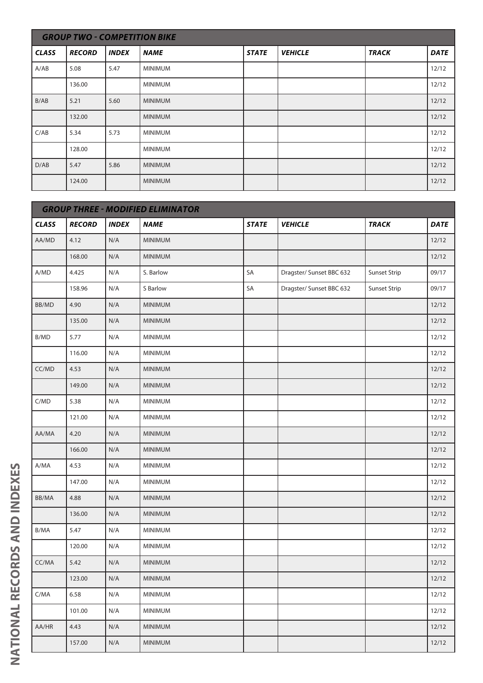|              | <b>GROUP TWO - COMPETITION BIKE</b> |              |                |              |                |              |             |  |  |
|--------------|-------------------------------------|--------------|----------------|--------------|----------------|--------------|-------------|--|--|
| <b>CLASS</b> | <b>RECORD</b>                       | <b>INDEX</b> | <b>NAME</b>    | <b>STATE</b> | <b>VEHICLE</b> | <b>TRACK</b> | <b>DATE</b> |  |  |
| A/AB         | 5.08                                | 5.47         | <b>MINIMUM</b> |              |                |              | 12/12       |  |  |
|              | 136.00                              |              | <b>MINIMUM</b> |              |                |              | 12/12       |  |  |
| B/AB         | 5.21                                | 5.60         | <b>MINIMUM</b> |              |                |              | 12/12       |  |  |
|              | 132.00                              |              | <b>MINIMUM</b> |              |                |              | 12/12       |  |  |
| C/AB         | 5.34                                | 5.73         | <b>MINIMUM</b> |              |                |              | 12/12       |  |  |
|              | 128.00                              |              | <b>MINIMUM</b> |              |                |              | 12/12       |  |  |
| D/AB         | 5.47                                | 5.86         | <b>MINIMUM</b> |              |                |              | 12/12       |  |  |
|              | 124.00                              |              | <b>MINIMUM</b> |              |                |              | 12/12       |  |  |

|              | <b>GROUP THREE - MODIFIED ELIMINATOR</b> |              |                |              |                          |                     |             |  |  |  |
|--------------|------------------------------------------|--------------|----------------|--------------|--------------------------|---------------------|-------------|--|--|--|
| <b>CLASS</b> | <b>RECORD</b>                            | <b>INDEX</b> | <b>NAME</b>    | <b>STATE</b> | <b>VEHICLE</b>           | <b>TRACK</b>        | <b>DATE</b> |  |  |  |
| AA/MD        | 4.12                                     | N/A          | <b>MINIMUM</b> |              |                          |                     | 12/12       |  |  |  |
|              | 168.00                                   | N/A          | <b>MINIMUM</b> |              |                          |                     | 12/12       |  |  |  |
| A/MD         | 4.425                                    | N/A          | S. Barlow      | SA           | Dragster/ Sunset BBC 632 | <b>Sunset Strip</b> | 09/17       |  |  |  |
|              | 158.96                                   | N/A          | S Barlow       | SA           | Dragster/ Sunset BBC 632 | Sunset Strip        | 09/17       |  |  |  |
| BB/MD        | 4.90                                     | N/A          | <b>MINIMUM</b> |              |                          |                     | 12/12       |  |  |  |
|              | 135.00                                   | N/A          | <b>MINIMUM</b> |              |                          |                     | 12/12       |  |  |  |
| B/MD         | 5.77                                     | N/A          | MINIMUM        |              |                          |                     | 12/12       |  |  |  |
|              | 116.00                                   | N/A          | <b>MINIMUM</b> |              |                          |                     | 12/12       |  |  |  |
| CC/MD        | 4.53                                     | N/A          | <b>MINIMUM</b> |              |                          |                     | 12/12       |  |  |  |
|              | 149.00                                   | N/A          | <b>MINIMUM</b> |              |                          |                     | 12/12       |  |  |  |
| C/MD         | 5.38                                     | N/A          | MINIMUM        |              |                          |                     | 12/12       |  |  |  |
|              | 121.00                                   | N/A          | <b>MINIMUM</b> |              |                          |                     | 12/12       |  |  |  |
| AA/MA        | 4.20                                     | N/A          | <b>MINIMUM</b> |              |                          |                     | 12/12       |  |  |  |
|              | 166.00                                   | N/A          | <b>MINIMUM</b> |              |                          |                     | 12/12       |  |  |  |
| A/MA         | 4.53                                     | N/A          | <b>MINIMUM</b> |              |                          |                     | 12/12       |  |  |  |
|              | 147.00                                   | N/A          | MINIMUM        |              |                          |                     | 12/12       |  |  |  |
| BB/MA        | 4.88                                     | N/A          | <b>MINIMUM</b> |              |                          |                     | 12/12       |  |  |  |
|              | 136.00                                   | N/A          | <b>MINIMUM</b> |              |                          |                     | 12/12       |  |  |  |
| B/MA         | 5.47                                     | N/A          | MINIMUM        |              |                          |                     | 12/12       |  |  |  |
|              | 120.00                                   | N/A          | <b>MINIMUM</b> |              |                          |                     | 12/12       |  |  |  |
| CC/MA        | 5.42                                     | N/A          | <b>MINIMUM</b> |              |                          |                     | 12/12       |  |  |  |
|              | 123.00                                   | N/A          | <b>MINIMUM</b> |              |                          |                     | 12/12       |  |  |  |
| C/MA         | 6.58                                     | N/A          | <b>MINIMUM</b> |              |                          |                     | 12/12       |  |  |  |
|              | 101.00                                   | N/A          | <b>MINIMUM</b> |              |                          |                     | 12/12       |  |  |  |
| AA/HR        | 4.43                                     | N/A          | <b>MINIMUM</b> |              |                          |                     | 12/12       |  |  |  |
|              | 157.00                                   | N/A          | <b>MINIMUM</b> |              |                          |                     | 12/12       |  |  |  |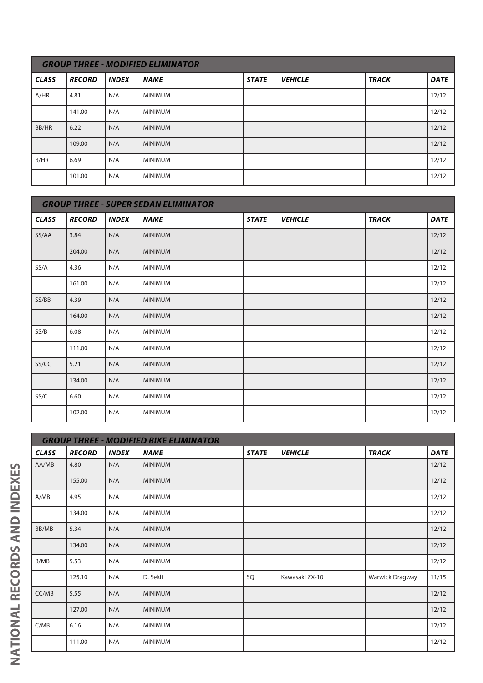| <b>GROUP THREE - MODIFIED ELIMINATOR</b> |               |              |                |              |                |              |             |  |  |
|------------------------------------------|---------------|--------------|----------------|--------------|----------------|--------------|-------------|--|--|
| <b>CLASS</b>                             | <b>RECORD</b> | <b>INDEX</b> | <b>NAME</b>    | <b>STATE</b> | <b>VEHICLE</b> | <b>TRACK</b> | <b>DATE</b> |  |  |
| A/HR                                     | 4.81          | N/A          | <b>MINIMUM</b> |              |                |              | 12/12       |  |  |
|                                          | 141.00        | N/A          | <b>MINIMUM</b> |              |                |              | 12/12       |  |  |
| BB/HR                                    | 6.22          | N/A          | <b>MINIMUM</b> |              |                |              | 12/12       |  |  |
|                                          | 109.00        | N/A          | <b>MINIMUM</b> |              |                |              | 12/12       |  |  |
| B/HR                                     | 6.69          | N/A          | <b>MINIMUM</b> |              |                |              | 12/12       |  |  |
|                                          | 101.00        | N/A          | <b>MINIMUM</b> |              |                |              | 12/12       |  |  |

|              | <b>GROUP THREE - SUPER SEDAN ELIMINATOR</b> |              |                |              |                |              |             |  |  |  |
|--------------|---------------------------------------------|--------------|----------------|--------------|----------------|--------------|-------------|--|--|--|
| <b>CLASS</b> | <b>RECORD</b>                               | <b>INDEX</b> | <b>NAME</b>    | <b>STATE</b> | <b>VEHICLE</b> | <b>TRACK</b> | <b>DATE</b> |  |  |  |
| SS/AA        | 3.84                                        | N/A          | <b>MINIMUM</b> |              |                |              | 12/12       |  |  |  |
|              | 204.00                                      | N/A          | <b>MINIMUM</b> |              |                |              | 12/12       |  |  |  |
| SS/A         | 4.36                                        | N/A          | <b>MINIMUM</b> |              |                |              | 12/12       |  |  |  |
|              | 161.00                                      | N/A          | <b>MINIMUM</b> |              |                |              | 12/12       |  |  |  |
| SS/BB        | 4.39                                        | N/A          | <b>MINIMUM</b> |              |                |              | 12/12       |  |  |  |
|              | 164.00                                      | N/A          | <b>MINIMUM</b> |              |                |              | 12/12       |  |  |  |
| SS/B         | 6.08                                        | N/A          | <b>MINIMUM</b> |              |                |              | 12/12       |  |  |  |
|              | 111.00                                      | N/A          | <b>MINIMUM</b> |              |                |              | 12/12       |  |  |  |
| SS/CC        | 5.21                                        | N/A          | <b>MINIMUM</b> |              |                |              | 12/12       |  |  |  |
|              | 134.00                                      | N/A          | <b>MINIMUM</b> |              |                |              | 12/12       |  |  |  |
| SS/C         | 6.60                                        | N/A          | <b>MINIMUM</b> |              |                |              | 12/12       |  |  |  |
|              | 102.00                                      | N/A          | <b>MINIMUM</b> |              |                |              | 12/12       |  |  |  |

|              |               |              | <b>GROUP THREE - MODIFIED BIKE ELIMINATOR</b> |              |                |                 |             |
|--------------|---------------|--------------|-----------------------------------------------|--------------|----------------|-----------------|-------------|
| <b>CLASS</b> | <b>RECORD</b> | <b>INDEX</b> | NAME                                          | <b>STATE</b> | <b>VEHICLE</b> | <b>TRACK</b>    | <b>DATE</b> |
| AA/MB        | 4.80          | N/A          | <b>MINIMUM</b>                                |              |                |                 | 12/12       |
|              | 155.00        | N/A          | <b>MINIMUM</b>                                |              |                |                 | 12/12       |
| A/MB         | 4.95          | N/A          | <b>MINIMUM</b>                                |              |                |                 | 12/12       |
|              | 134.00        | N/A          | <b>MINIMUM</b>                                |              |                |                 | 12/12       |
| BB/MB        | 5.34          | N/A          | <b>MINIMUM</b>                                |              |                |                 | 12/12       |
|              | 134.00        | N/A          | <b>MINIMUM</b>                                |              |                |                 | 12/12       |
| B/MB         | 5.53          | N/A          | <b>MINIMUM</b>                                |              |                |                 | 12/12       |
|              | 125.10        | N/A          | D. Sekli                                      | SQ           | Kawasaki ZX-10 | Warwick Dragway | 11/15       |
| CC/MB        | 5.55          | N/A          | <b>MINIMUM</b>                                |              |                |                 | 12/12       |
|              | 127.00        | N/A          | <b>MINIMUM</b>                                |              |                |                 | 12/12       |
| C/MB         | 6.16          | N/A          | <b>MINIMUM</b>                                |              |                |                 | 12/12       |
|              | 111.00        | N/A          | <b>MINIMUM</b>                                |              |                |                 | 12/12       |